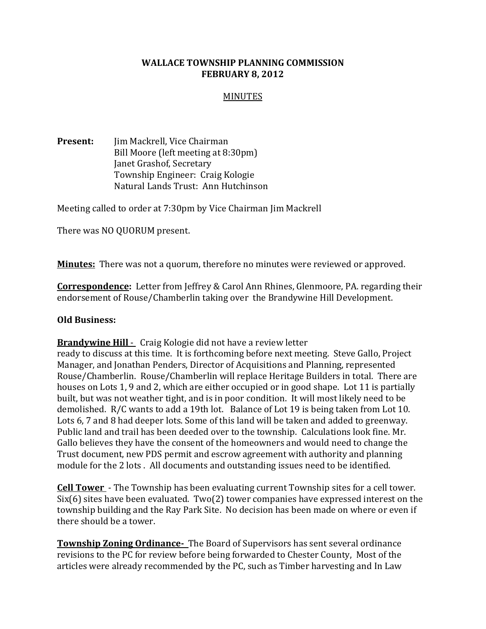## WALLACE TOWNSHIP PLANNING COMMISSION FEBRUARY 8, 2012

### MINUTES

**Present:** Jim Mackrell, Vice Chairman Bill Moore (left meeting at 8:30pm) Janet Grashof, Secretary Township Engineer: Craig Kologie Natural Lands Trust: Ann Hutchinson

Meeting called to order at 7:30pm by Vice Chairman Jim Mackrell

There was NO QUORUM present.

**Minutes:** There was not a quorum, therefore no minutes were reviewed or approved.

**Correspondence:** Letter from Jeffrey & Carol Ann Rhines, Glenmoore, PA. regarding their endorsement of Rouse/Chamberlin taking over the Brandywine Hill Development.

#### Old Business:

**Brandywine Hill -** Craig Kologie did not have a review letter

ready to discuss at this time. It is forthcoming before next meeting. Steve Gallo, Project Manager, and Jonathan Penders, Director of Acquisitions and Planning, represented Rouse/Chamberlin. Rouse/Chamberlin will replace Heritage Builders in total. There are houses on Lots 1, 9 and 2, which are either occupied or in good shape. Lot 11 is partially built, but was not weather tight, and is in poor condition. It will most likely need to be demolished. R/C wants to add a 19th lot. Balance of Lot 19 is being taken from Lot 10. Lots 6, 7 and 8 had deeper lots. Some of this land will be taken and added to greenway. Public land and trail has been deeded over to the township. Calculations look fine. Mr. Gallo believes they have the consent of the homeowners and would need to change the Trust document, new PDS permit and escrow agreement with authority and planning module for the 2 lots . All documents and outstanding issues need to be identified.

**Cell Tower** - The Township has been evaluating current Township sites for a cell tower. Six(6) sites have been evaluated. Two(2) tower companies have expressed interest on the township building and the Ray Park Site. No decision has been made on where or even if there should be a tower.

Township Zoning Ordinance- The Board of Supervisors has sent several ordinance revisions to the PC for review before being forwarded to Chester County, Most of the articles were already recommended by the PC, such as Timber harvesting and In Law